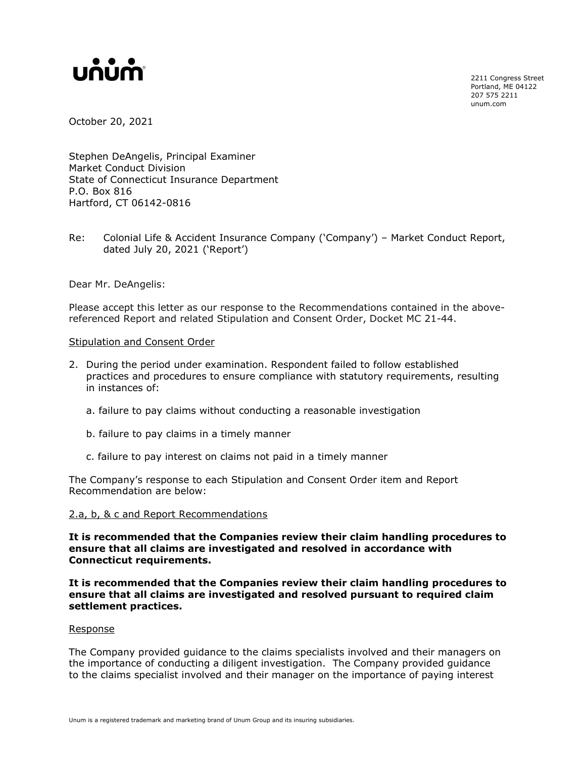## unum

2211 Congress Street Portland, ME 04122 207 575 2211 unum.com

October 20, 2021

Stephen DeAngelis, Principal Examiner Market Conduct Division State of Connecticut Insurance Department P.O. Box 816 Hartford, CT 06142-0816

Re: Colonial Life & Accident Insurance Company ('Company') – Market Conduct Report, dated July 20, 2021 ('Report')

Dear Mr. DeAngelis:

Please accept this letter as our response to the Recommendations contained in the abovereferenced Report and related Stipulation and Consent Order, Docket MC 21-44.

## Stipulation and Consent Order

- 2. During the period under examination. Respondent failed to follow established practices and procedures to ensure compliance with statutory requirements, resulting in instances of:
	- a. failure to pay claims without conducting a reasonable investigation
	- b. failure to pay claims in a timely manner
	- c. failure to pay interest on claims not paid in a timely manner

The Company's response to each Stipulation and Consent Order item and Report Recommendation are below:

## 2.a, b, & c and Report Recommendations

**It is recommended that the Companies review their claim handling procedures to ensure that all claims are investigated and resolved in accordance with Connecticut requirements.**

**It is recommended that the Companies review their claim handling procedures to ensure that all claims are investigated and resolved pursuant to required claim settlement practices.**

## Response

The Company provided guidance to the claims specialists involved and their managers on the importance of conducting a diligent investigation. The Company provided guidance to the claims specialist involved and their manager on the importance of paying interest